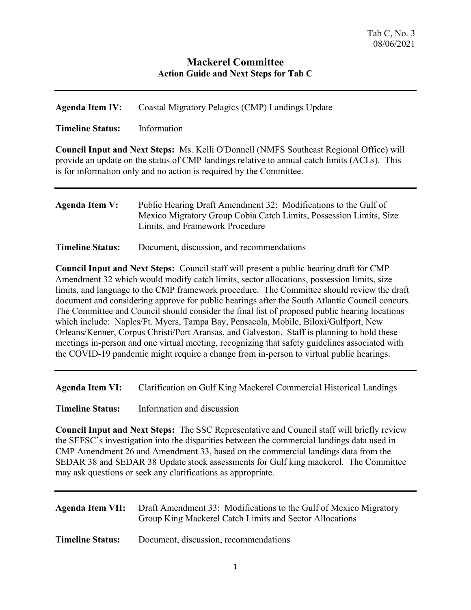## **Mackerel Committee Action Guide and Next Steps for Tab C**

| Agenda Item IV: | Coastal Migratory Pelagics (CMP) Landings Update |  |
|-----------------|--------------------------------------------------|--|
|                 |                                                  |  |

**Timeline Status:** Information

**Council Input and Next Steps:** Ms. Kelli O'Donnell (NMFS Southeast Regional Office) will provide an update on the status of CMP landings relative to annual catch limits (ACLs). This is for information only and no action is required by the Committee.

| Agenda Item V: | Public Hearing Draft Amendment 32: Modifications to the Gulf of    |
|----------------|--------------------------------------------------------------------|
|                | Mexico Migratory Group Cobia Catch Limits, Possession Limits, Size |
|                | Limits, and Framework Procedure                                    |

| <b>Timeline Status:</b> |  |  |  | Document, discussion, and recommendations |
|-------------------------|--|--|--|-------------------------------------------|
|-------------------------|--|--|--|-------------------------------------------|

**Council Input and Next Steps:** Council staff will present a public hearing draft for CMP Amendment 32 which would modify catch limits, sector allocations, possession limits, size limits, and language to the CMP framework procedure. The Committee should review the draft document and considering approve for public hearings after the South Atlantic Council concurs. The Committee and Council should consider the final list of proposed public hearing locations which include: Naples/Ft. Myers, Tampa Bay, Pensacola, Mobile, Biloxi/Gulfport, New Orleans/Kenner, Corpus Christi/Port Aransas, and Galveston. Staff is planning to hold these meetings in-person and one virtual meeting, recognizing that safety guidelines associated with the COVID-19 pandemic might require a change from in-person to virtual public hearings.

**Agenda Item VI:** Clarification on Gulf King Mackerel Commercial Historical Landings

**Timeline Status:** Information and discussion

**Council Input and Next Steps:** The SSC Representative and Council staff will briefly review the SEFSC's investigation into the disparities between the commercial landings data used in CMP Amendment 26 and Amendment 33, based on the commercial landings data from the SEDAR 38 and SEDAR 38 Update stock assessments for Gulf king mackerel. The Committee may ask questions or seek any clarifications as appropriate.

|                         | <b>Agenda Item VII:</b> Draft Amendment 33: Modifications to the Gulf of Mexico Migratory<br>Group King Mackerel Catch Limits and Sector Allocations |
|-------------------------|------------------------------------------------------------------------------------------------------------------------------------------------------|
| <b>Timeline Status:</b> | Document, discussion, recommendations                                                                                                                |